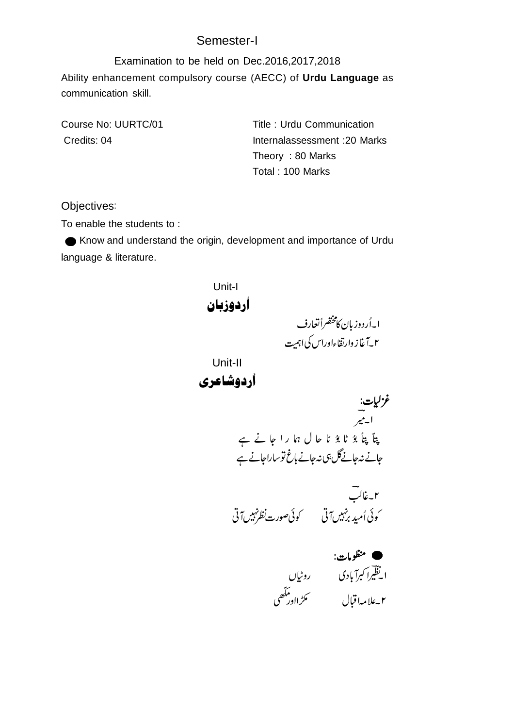## Semester-I

Examination to be held on Dec.2016,2017,2018 Ability enhancement compulsory course (AECC) of **Urdu Language** as communication skill.

Course No: UURTC/01 Title : Urdu Communication Credits: 04 Internalassessment :20 Marks Theory : 80 Marks Total : 100 Marks

Objectives

To enable the students to :

Know and understand the origin, development and importance of Urdu language & literature.

Unit-I أردوزبان ا۔اُردوز بان کامخضراً تعارف ٢\_آغاز وارتقاءاوراس کی اہمیت Unit-II أردوشاعري غز گيات: ابهير پتآ پتأ بۇ ٹا بۇ ٹا حال ہما را جا نے ہے ĺ ĺ جانے نہ جانےگل ہی نہ جانے نوساراجانے ہے ۲۔غالب كوئى أميد برنبيس آتى مستسمى كوئى صورت نظرنهيس آتى منظومات: ا یظیرا کبرآبادی در روٹیاں ملڑااور مآھ<br>ر Ï i ۲۔علامہاقبال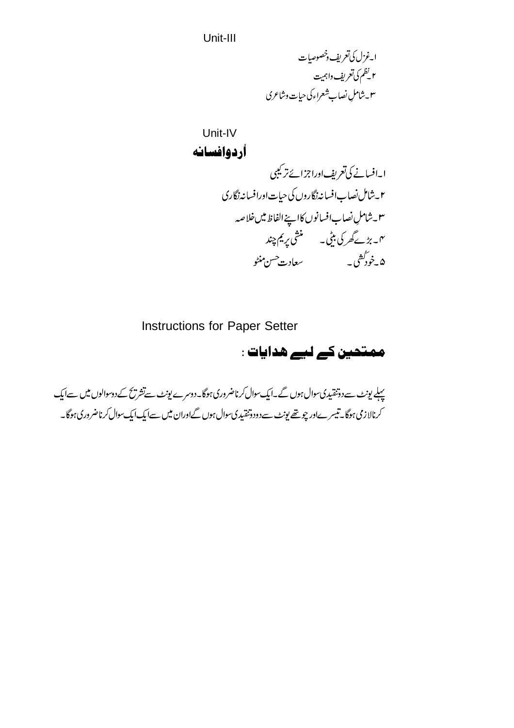Unit-III

 

Unit-IV 

Instructions for Paper Setter

ممتحین کے لیے هدایات :

پہلے یونٹ سے دوتنقیدی سوال ہوں گے۔ایک سوال کرناضروری ہوگا۔دوسرے یونٹ سےتشریح کے دوسوالوں میں سےایک کرنالازمی ہوگا۔تیسرےاور چوتھے یونٹ سےدودوتنقیدی سوال ہوں گےاوران میں سےایک ایک سوال کرناضروری ہوگا۔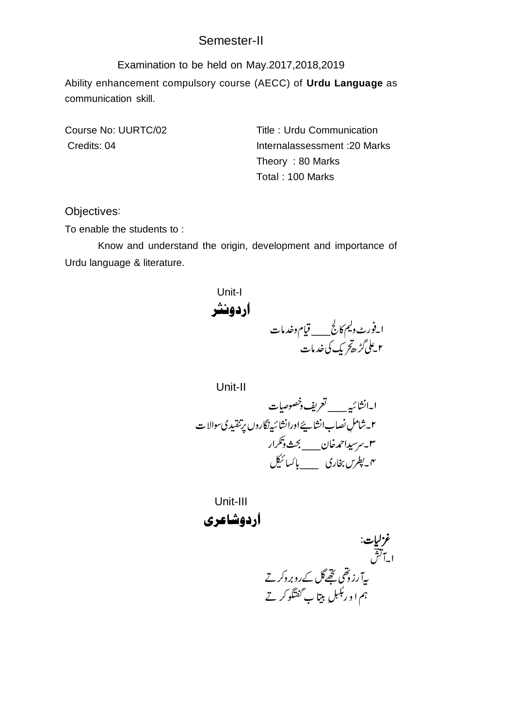## Semester-II

Examination to be held on May.2017,2018,2019 Ability enhancement compulsory course (AECC) of **Urdu Language** as communication skill.

Course No: UURTC/02 Title : Urdu Communication Credits: 04 Internalassessment :20 Marks Theory : 80 Marks Total : 100 Marks

Objectives

To enable the students to :

Know and understand the origin, development and importance of Urdu language & literature.

Unit-I أردونثر \_\_\_ ۲۔علی *گڑھ کر* یک کی خدمات

Unit-II ا\_انشائي<sub>ة ——</sub> تعريف دخصوصيات ۲۔شاملِ نصابِ انشا پئے اورانشائیہ نگاروں پرتنقیدی سوالا ت ٣-برسيداحمه خان\_\_\_ لجحث وتكرار ر۔<br>ہم۔پطرس بخاری ہے پائسائیکل

Unit-III أردوشاعري

غز گیات: ا-آگش ىيآرزۇھى ئىچھاكك روبروگر تے ہم ا و ر' ِ<br>ِ ربّٰلبلِ بيتاً بِ گَفتَگُو کر تے